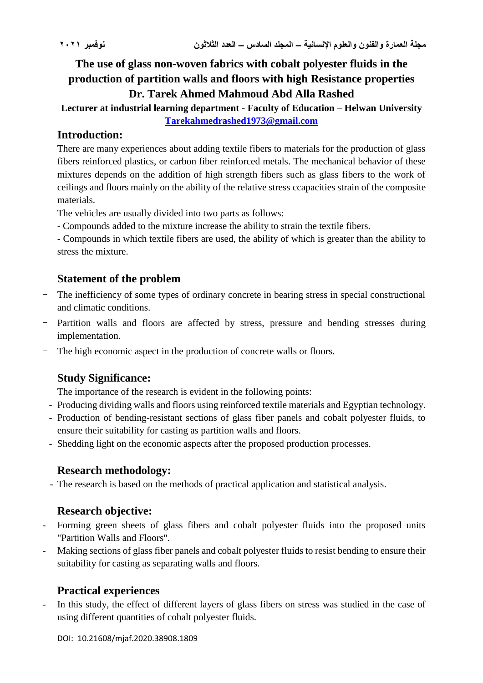**The use of glass non-woven fabrics with cobalt polyester fluids in the production of partition walls and floors with high Resistance properties Dr. Tarek Ahmed Mahmoud Abd Alla Rashed**

**Lecturer at industrial learning department - Faculty of Education – Helwan University [Tarekahmedrashed1973@gmail.com](mailto:Tarekahmedrashed1973@gmail.com)**

## **Introduction:**

There are many experiences about adding textile fibers to materials for the production of glass fibers reinforced plastics, or carbon fiber reinforced metals. The mechanical behavior of these mixtures depends on the addition of high strength fibers such as glass fibers to the work of ceilings and floors mainly on the ability of the relative stress ccapacities strain of the composite materials.

The vehicles are usually divided into two parts as follows:

- Compounds added to the mixture increase the ability to strain the textile fibers.

- Compounds in which textile fibers are used, the ability of which is greater than the ability to stress the mixture.

# **Statement of the problem**

- The inefficiency of some types of ordinary concrete in bearing stress in special constructional and climatic conditions.
- Partition walls and floors are affected by stress, pressure and bending stresses during implementation.
- The high economic aspect in the production of concrete walls or floors.

# **Study Significance:**

The importance of the research is evident in the following points:

- Producing dividing walls and floors using reinforced textile materials and Egyptian technology.
- Production of bending-resistant sections of glass fiber panels and cobalt polyester fluids, to ensure their suitability for casting as partition walls and floors.
- Shedding light on the economic aspects after the proposed production processes.

## **Research methodology:**

- The research is based on the methods of practical application and statistical analysis.

## **Research objective:**

- Forming green sheets of glass fibers and cobalt polyester fluids into the proposed units "Partition Walls and Floors".
- Making sections of glass fiber panels and cobalt polyester fluids to resist bending to ensure their suitability for casting as separating walls and floors.

## **Practical experiences**

In this study, the effect of different layers of glass fibers on stress was studied in the case of using different quantities of cobalt polyester fluids.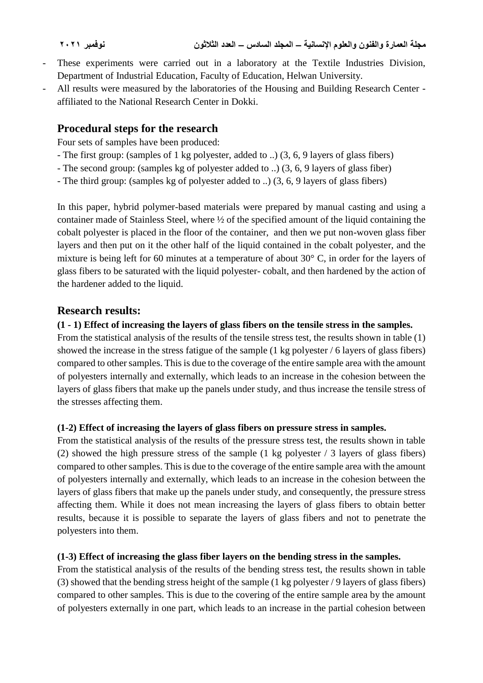- These experiments were carried out in a laboratory at the Textile Industries Division, Department of Industrial Education, Faculty of Education, Helwan University.
- All results were measured by the laboratories of the Housing and Building Research Center affiliated to the National Research Center in Dokki.

## **Procedural steps for the research**

Four sets of samples have been produced:

- The first group: (samples of 1 kg polyester, added to ..) (3, 6, 9 layers of glass fibers)
- The second group: (samples kg of polyester added to ..) (3, 6, 9 layers of glass fiber)
- The third group: (samples kg of polyester added to ..) (3, 6, 9 layers of glass fibers)

In this paper, hybrid polymer-based materials were prepared by manual casting and using a container made of Stainless Steel, where ½ of the specified amount of the liquid containing the cobalt polyester is placed in the floor of the container, and then we put non-woven glass fiber layers and then put on it the other half of the liquid contained in the cobalt polyester, and the mixture is being left for 60 minutes at a temperature of about 30° C, in order for the layers of glass fibers to be saturated with the liquid polyester- cobalt, and then hardened by the action of the hardener added to the liquid.

### **Research results:**

### **(1 - 1) Effect of increasing the layers of glass fibers on the tensile stress in the samples.**

From the statistical analysis of the results of the tensile stress test, the results shown in table (1) showed the increase in the stress fatigue of the sample (1 kg polyester / 6 layers of glass fibers) compared to other samples. This is due to the coverage of the entire sample area with the amount of polyesters internally and externally, which leads to an increase in the cohesion between the layers of glass fibers that make up the panels under study, and thus increase the tensile stress of the stresses affecting them.

#### **(1-2) Effect of increasing the layers of glass fibers on pressure stress in samples.**

From the statistical analysis of the results of the pressure stress test, the results shown in table (2) showed the high pressure stress of the sample (1 kg polyester / 3 layers of glass fibers) compared to other samples. This is due to the coverage of the entire sample area with the amount of polyesters internally and externally, which leads to an increase in the cohesion between the layers of glass fibers that make up the panels under study, and consequently, the pressure stress affecting them. While it does not mean increasing the layers of glass fibers to obtain better results, because it is possible to separate the layers of glass fibers and not to penetrate the polyesters into them.

#### **(1-3) Effect of increasing the glass fiber layers on the bending stress in the samples.**

From the statistical analysis of the results of the bending stress test, the results shown in table (3) showed that the bending stress height of the sample (1 kg polyester / 9 layers of glass fibers) compared to other samples. This is due to the covering of the entire sample area by the amount of polyesters externally in one part, which leads to an increase in the partial cohesion between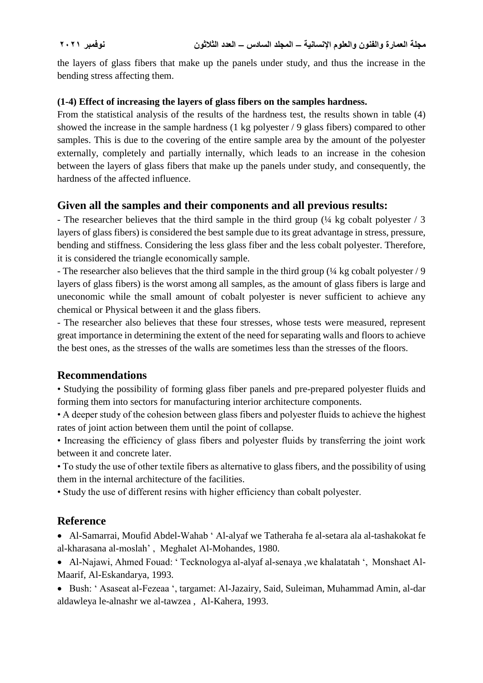the layers of glass fibers that make up the panels under study, and thus the increase in the bending stress affecting them.

## **(1-4) Effect of increasing the layers of glass fibers on the samples hardness.**

From the statistical analysis of the results of the hardness test, the results shown in table (4) showed the increase in the sample hardness (1 kg polyester / 9 glass fibers) compared to other samples. This is due to the covering of the entire sample area by the amount of the polyester externally, completely and partially internally, which leads to an increase in the cohesion between the layers of glass fibers that make up the panels under study, and consequently, the hardness of the affected influence.

## **Given all the samples and their components and all previous results:**

- The researcher believes that the third sample in the third group ( $\frac{1}{4}$  kg cobalt polyester / 3 layers of glass fibers) is considered the best sample due to its great advantage in stress, pressure, bending and stiffness. Considering the less glass fiber and the less cobalt polyester. Therefore, it is considered the triangle economically sample.

- The researcher also believes that the third sample in the third group  $\frac{1}{4}$  kg cobalt polyester / 9 layers of glass fibers) is the worst among all samples, as the amount of glass fibers is large and uneconomic while the small amount of cobalt polyester is never sufficient to achieve any chemical or Physical between it and the glass fibers.

- The researcher also believes that these four stresses, whose tests were measured, represent great importance in determining the extent of the need for separating walls and floors to achieve the best ones, as the stresses of the walls are sometimes less than the stresses of the floors.

## **Recommendations**

• Studying the possibility of forming glass fiber panels and pre-prepared polyester fluids and forming them into sectors for manufacturing interior architecture components.

• A deeper study of the cohesion between glass fibers and polyester fluids to achieve the highest rates of joint action between them until the point of collapse.

• Increasing the efficiency of glass fibers and polyester fluids by transferring the joint work between it and concrete later.

• To study the use of other textile fibers as alternative to glass fibers, and the possibility of using them in the internal architecture of the facilities.

• Study the use of different resins with higher efficiency than cobalt polyester.

## **Reference**

 Al-Samarrai, Moufid Abdel-Wahab ' Al-alyaf we Tatheraha fe al-setara ala al-tashakokat fe al-kharasana al-moslah' , Meghalet Al-Mohandes, 1980.

 Al-Najawi, Ahmed Fouad: ' Tecknologya al-alyaf al-senaya ,we khalatatah ', Monshaet Al-Maarif, Al-Eskandarya, 1993.

 Bush: ' Asaseat al-Fezeaa ', targamet: Al-Jazairy, Said, Suleiman, Muhammad Amin, al-dar aldawleya le-alnashr we al-tawzea , Al-Kahera, 1993.